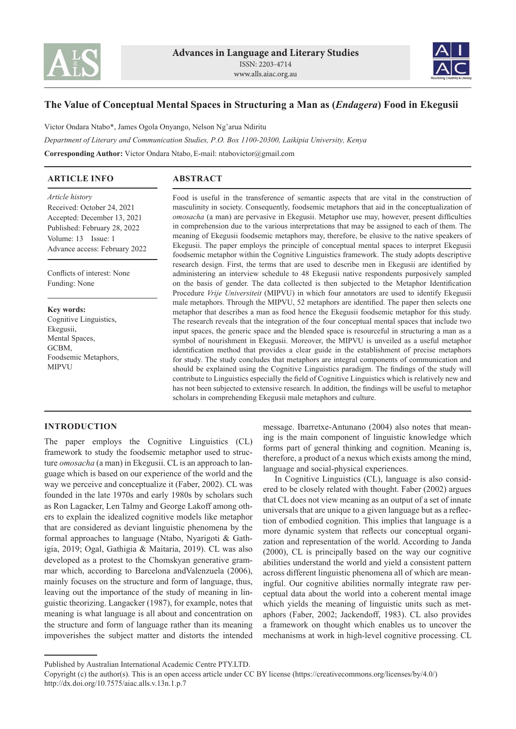



# **The Value of Conceptual Mental Spaces in Structuring a Man as (***Endagera***) Food in Ekegusii**

Victor Ondara Ntabo\*, James Ogola Onyango, Nelson Ng'arua Ndiritu *Department of Literary and Communication Studies, P.O. Box 1100-20300, Laikipia University, Kenya* **Corresponding Author:** Victor Ondara Ntabo,E-mail: ntabovictor@gmail.com

## **ARTICLE INFO**

# **ABSTRACT**

*Article history* Received: October 24, 2021 Accepted: December 13, 2021 Published: February 28, 2022 Volume: 13 Issue: 1 Advance access: February 2022

Conflicts of interest: None Funding: None

**Key words:** Cognitive Linguistics, Ekegusii, Mental Spaces, GCBM, Foodsemic Metaphors, MIPVU

Food is useful in the transference of semantic aspects that are vital in the construction of masculinity in society. Consequently, foodsemic metaphors that aid in the conceptualization of *omosacha* (a man) are pervasive in Ekegusii. Metaphor use may, however, present difficulties in comprehension due to the various interpretations that may be assigned to each of them. The meaning of Ekegusii foodsemic metaphors may, therefore, be elusive to the native speakers of Ekegusii. The paper employs the principle of conceptual mental spaces to interpret Ekegusii foodsemic metaphor within the Cognitive Linguistics framework. The study adopts descriptive research design. First, the terms that are used to describe men in Ekegusii are identified by administering an interview schedule to 48 Ekegusii native respondents purposively sampled on the basis of gender. The data collected is then subjected to the Metaphor Identification Procedure *Vrije Universiteit* (MIPVU) in which four annotators are used to identify Ekegusii male metaphors. Through the MIPVU, 52 metaphors are identified. The paper then selects one metaphor that describes a man as food hence the Ekegusii foodsemic metaphor for this study. The research reveals that the integration of the four conceptual mental spaces that include two input spaces, the generic space and the blended space is resourceful in structuring a man as a symbol of nourishment in Ekegusii. Moreover, the MIPVU is unveiled as a useful metaphor identification method that provides a clear guide in the establishment of precise metaphors for study. The study concludes that metaphors are integral components of communication and should be explained using the Cognitive Linguistics paradigm. The findings of the study will contribute to Linguistics especially the field of Cognitive Linguistics which is relatively new and has not been subjected to extensive research. In addition, the findings will be useful to metaphor scholars in comprehending Ekegusii male metaphors and culture.

## **INTRODUCTION**

The paper employs the Cognitive Linguistics (CL) framework to study the foodsemic metaphor used to structure *omosacha* (a man) in Ekegusii. CL is an approach to language which is based on our experience of the world and the way we perceive and conceptualize it (Faber, 2002). CL was founded in the late 1970s and early 1980s by scholars such as Ron Lagacker, Len Talmy and George Lakoff among others to explain the idealized cognitive models like metaphor that are considered as deviant linguistic phenomena by the formal approaches to language (Ntabo, Nyarigoti & Gathigia, 2019; Ogal, Gathigia & Maitaria, 2019). CL was also developed as a protest to the Chomskyan generative grammar which, according to Barcelona andValenzuela (2006), mainly focuses on the structure and form of language, thus, leaving out the importance of the study of meaning in linguistic theorizing. Langacker (1987), for example, notes that meaning is what language is all about and concentration on the structure and form of language rather than its meaning impoverishes the subject matter and distorts the intended message. Ibarretxe-Antunano (2004) also notes that meaning is the main component of linguistic knowledge which forms part of general thinking and cognition. Meaning is, therefore, a product of a nexus which exists among the mind, language and social-physical experiences.

In Cognitive Linguistics (CL), language is also considered to be closely related with thought. Faber (2002) argues that CL does not view meaning as an output of a set of innate universals that are unique to a given language but as a reflection of embodied cognition. This implies that language is a more dynamic system that reflects our conceptual organization and representation of the world. According to Janda (2000), CL is principally based on the way our cognitive abilities understand the world and yield a consistent pattern across different linguistic phenomena all of which are meaningful. Our cognitive abilities normally integrate raw perceptual data about the world into a coherent mental image which yields the meaning of linguistic units such as metaphors (Faber, 2002; Jackendoff, 1983). CL also provides a framework on thought which enables us to uncover the mechanisms at work in high-level cognitive processing. CL

Published by Australian International Academic Centre PTY.LTD.

Copyright (c) the author(s). This is an open access article under CC BY license (https://creativecommons.org/licenses/by/4.0/) http://dx.doi.org/10.7575/aiac.alls.v.13n.1.p.7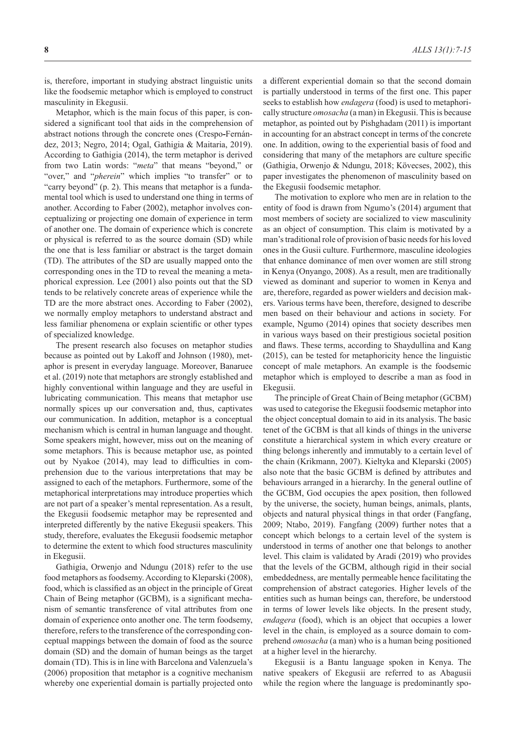is, therefore, important in studying abstract linguistic units like the foodsemic metaphor which is employed to construct masculinity in Ekegusii.

Metaphor, which is the main focus of this paper, is considered a significant tool that aids in the comprehension of abstract notions through the concrete ones (Crespo**-**Fernández, 2013; Negro, 2014; Ogal, Gathigia & Maitaria, 2019). According to Gathigia (2014), the term metaphor is derived from two Latin words: "*meta*" that means "beyond," or "over," and "*pherein*" which implies "to transfer" or to "carry beyond" (p. 2). This means that metaphor is a fundamental tool which is used to understand one thing in terms of another. According to Faber (2002), metaphor involves conceptualizing or projecting one domain of experience in term of another one. The domain of experience which is concrete or physical is referred to as the source domain (SD) while the one that is less familiar or abstract is the target domain (TD). The attributes of the SD are usually mapped onto the corresponding ones in the TD to reveal the meaning a metaphorical expression. Lee (2001) also points out that the SD tends to be relatively concrete areas of experience while the TD are the more abstract ones. According to Faber (2002), we normally employ metaphors to understand abstract and less familiar phenomena or explain scientific or other types of specialized knowledge.

The present research also focuses on metaphor studies because as pointed out by Lakoff and Johnson (1980), metaphor is present in everyday language. Moreover, Banaruee et al. (2019) note that metaphors are strongly established and highly conventional within language and they are useful in lubricating communication. This means that metaphor use normally spices up our conversation and, thus, captivates our communication. In addition, metaphor is a conceptual mechanism which is central in human language and thought. Some speakers might, however, miss out on the meaning of some metaphors. This is because metaphor use, as pointed out by Nyakoe (2014), may lead to difficulties in comprehension due to the various interpretations that may be assigned to each of the metaphors. Furthermore, some of the metaphorical interpretations may introduce properties which are not part of a speaker's mental representation. As a result, the Ekegusii foodsemic metaphor may be represented and interpreted differently by the native Ekegusii speakers. This study, therefore, evaluates the Ekegusii foodsemic metaphor to determine the extent to which food structures masculinity in Ekegusii.

Gathigia, Orwenjo and Ndungu (2018) refer to the use food metaphors as foodsemy. According to Kleparski (2008), food, which is classified as an object in the principle of Great Chain of Being metaphor (GCBM), is a significant mechanism of semantic transference of vital attributes from one domain of experience onto another one. The term foodsemy, therefore, refers to the transference of the corresponding conceptual mappings between the domain of food as the source domain (SD) and the domain of human beings as the target domain (TD). This is in line with Barcelona and Valenzuela's (2006) proposition that metaphor is a cognitive mechanism whereby one experiential domain is partially projected onto

a different experiential domain so that the second domain is partially understood in terms of the first one. This paper seeks to establish how *endagera* (food) is used to metaphorically structure *omosacha* (a man) in Ekegusii. This is because metaphor, as pointed out by Pishghadam (2011) is important in accounting for an abstract concept in terms of the concrete one. In addition, owing to the experiential basis of food and considering that many of the metaphors are culture specific (Gathigia, Orwenjo & Ndungu, 2018; Kövecses, 2002), this paper investigates the phenomenon of masculinity based on the Ekegusii foodsemic metaphor.

The motivation to explore who men are in relation to the entity of food is drawn from Ngumo's (2014) argument that most members of society are socialized to view masculinity as an object of consumption. This claim is motivated by a man's traditional role of provision of basic needs for his loved ones in the Gusii culture. Furthermore, masculine ideologies that enhance dominance of men over women are still strong in Kenya (Onyango, 2008). As a result, men are traditionally viewed as dominant and superior to women in Kenya and are, therefore, regarded as power wielders and decision makers. Various terms have been, therefore, designed to describe men based on their behaviour and actions in society. For example, Ngumo (2014) opines that society describes men in various ways based on their prestigious societal position and flaws. These terms, according to Shaydullina and Kang (2015), can be tested for metaphoricity hence the linguistic concept of male metaphors. An example is the foodsemic metaphor which is employed to describe a man as food in Ekegusii.

The principle of Great Chain of Being metaphor (GCBM) was used to categorise the Ekegusii foodsemic metaphor into the object conceptual domain to aid in its analysis. The basic tenet of the GCBM is that all kinds of things in the universe constitute a hierarchical system in which every creature or thing belongs inherently and immutably to a certain level of the chain (Krikmann, 2007). Kieltyka and Kleparski (2005) also note that the basic GCBM is defined by attributes and behaviours arranged in a hierarchy. In the general outline of the GCBM, God occupies the apex position, then followed by the universe, the society, human beings, animals, plants, objects and natural physical things in that order (Fangfang, 2009; Ntabo, 2019). Fangfang (2009) further notes that a concept which belongs to a certain level of the system is understood in terms of another one that belongs to another level. This claim is validated by Aradi (2019) who provides that the levels of the GCBM, although rigid in their social embeddedness, are mentally permeable hence facilitating the comprehension of abstract categories. Higher levels of the entities such as human beings can, therefore, be understood in terms of lower levels like objects. In the present study, *endagera* (food), which is an object that occupies a lower level in the chain, is employed as a source domain to comprehend *omosacha* (a man) who is a human being positioned at a higher level in the hierarchy.

Ekegusii is a Bantu language spoken in Kenya. The native speakers of Ekegusii are referred to as Abagusii while the region where the language is predominantly spo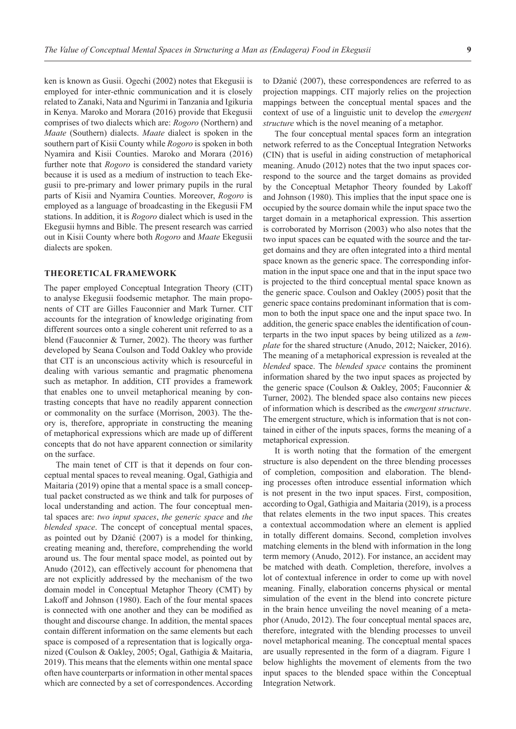ken is known as Gusii. Ogechi (2002) notes that Ekegusii is employed for inter-ethnic communication and it is closely related to Zanaki, Nata and Ngurimi in Tanzania and Igikuria in Kenya. Maroko and Morara (2016) provide that Ekegusii comprises of two dialects which are: *Rogoro* (Northern) and *Maate* (Southern) dialects. *Maate* dialect is spoken in the southern part of Kisii County while *Rogoro* is spoken in both Nyamira and Kisii Counties. Maroko and Morara (2016) further note that *Rogoro* is considered the standard variety because it is used as a medium of instruction to teach Ekegusii to pre-primary and lower primary pupils in the rural parts of Kisii and Nyamira Counties. Moreover, *Rogoro* is employed as a language of broadcasting in the Ekegusii FM stations. In addition, it is *Rogoro* dialect which is used in the Ekegusii hymns and Bible. The present research was carried out in Kisii County where both *Rogoro* and *Maate* Ekegusii dialects are spoken.

#### **THEORETICAL FRAMEWORK**

The paper employed Conceptual Integration Theory (CIT) to analyse Ekegusii foodsemic metaphor. The main proponents of CIT are Gilles Fauconnier and Mark Turner. CIT accounts for the integration of knowledge originating from different sources onto a single coherent unit referred to as a blend (Fauconnier & Turner, 2002). The theory was further developed by Seana Coulson and Todd Oakley who provide that CIT is an unconscious activity which is resourceful in dealing with various semantic and pragmatic phenomena such as metaphor. In addition, CIT provides a framework that enables one to unveil metaphorical meaning by contrasting concepts that have no readily apparent connection or commonality on the surface (Morrison, 2003). The theory is, therefore, appropriate in constructing the meaning of metaphorical expressions which are made up of different concepts that do not have apparent connection or similarity on the surface.

The main tenet of CIT is that it depends on four conceptual mental spaces to reveal meaning. Ogal, Gathigia and Maitaria (2019) opine that a mental space is a small conceptual packet constructed as we think and talk for purposes of local understanding and action. The four conceptual mental spaces are: *two input spaces*, *the generic space* and *the blended space*. The concept of conceptual mental spaces, as pointed out by Džanić (2007) is a model for thinking, creating meaning and, therefore, comprehending the world around us. The four mental space model, as pointed out by Anudo (2012), can effectively account for phenomena that are not explicitly addressed by the mechanism of the two domain model in Conceptual Metaphor Theory (CMT) by Lakoff and Johnson (1980). Each of the four mental spaces is connected with one another and they can be modified as thought and discourse change. In addition, the mental spaces contain different information on the same elements but each space is composed of a representation that is logically organized (Coulson & Oakley, 2005; Ogal, Gathigia & Maitaria, 2019). This means that the elements within one mental space often have counterparts or information in other mental spaces which are connected by a set of correspondences. According

to Džanić (2007), these correspondences are referred to as projection mappings. CIT majorly relies on the projection mappings between the conceptual mental spaces and the context of use of a linguistic unit to develop the *emergent structure* which is the novel meaning of a metaphor.

The four conceptual mental spaces form an integration network referred to as the Conceptual Integration Networks (CIN) that is useful in aiding construction of metaphorical meaning. Anudo (2012) notes that the two input spaces correspond to the source and the target domains as provided by the Conceptual Metaphor Theory founded by Lakoff and Johnson (1980). This implies that the input space one is occupied by the source domain while the input space two the target domain in a metaphorical expression. This assertion is corroborated by Morrison (2003) who also notes that the two input spaces can be equated with the source and the target domains and they are often integrated into a third mental space known as the generic space. The corresponding information in the input space one and that in the input space two is projected to the third conceptual mental space known as the generic space. Coulson and Oakley (2005) posit that the generic space contains predominant information that is common to both the input space one and the input space two. In addition, the generic space enables the identification of counterparts in the two input spaces by being utilized as a *template* for the shared structure (Anudo, 2012; Naicker, 2016). The meaning of a metaphorical expression is revealed at the *blended* space. The *blended space* contains the prominent information shared by the two input spaces as projected by the generic space (Coulson & Oakley, 2005; Fauconnier & Turner, 2002). The blended space also contains new pieces of information which is described as the *emergent structure*. The emergent structure, which is information that is not contained in either of the inputs spaces, forms the meaning of a metaphorical expression.

It is worth noting that the formation of the emergent structure is also dependent on the three blending processes of completion, composition and elaboration. The blending processes often introduce essential information which is not present in the two input spaces. First, composition, according to Ogal, Gathigia and Maitaria (2019), is a process that relates elements in the two input spaces. This creates a contextual accommodation where an element is applied in totally different domains. Second, completion involves matching elements in the blend with information in the long term memory (Anudo, 2012). For instance, an accident may be matched with death. Completion, therefore, involves a lot of contextual inference in order to come up with novel meaning. Finally, elaboration concerns physical or mental simulation of the event in the blend into concrete picture in the brain hence unveiling the novel meaning of a metaphor (Anudo, 2012). The four conceptual mental spaces are, therefore, integrated with the blending processes to unveil novel metaphorical meaning. The conceptual mental spaces are usually represented in the form of a diagram. Figure 1 below highlights the movement of elements from the two input spaces to the blended space within the Conceptual Integration Network.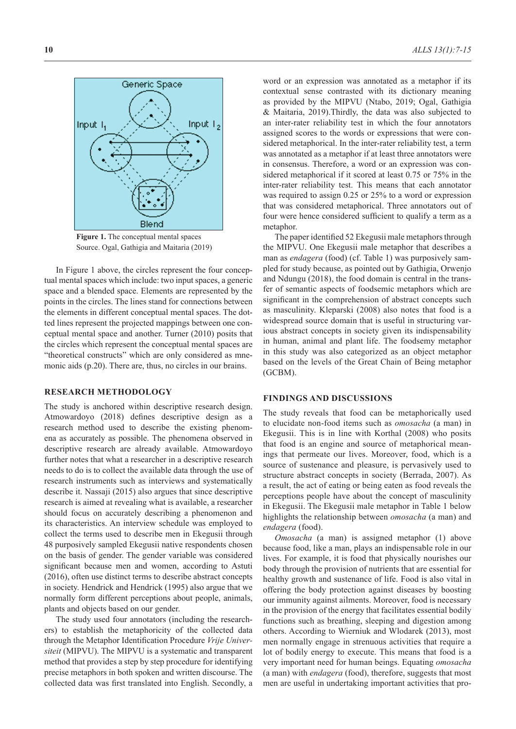

**Figure 1.** The conceptual mental spaces Source. Ogal, Gathigia and Maitaria (2019)

In Figure 1 above, the circles represent the four conceptual mental spaces which include: two input spaces, a generic space and a blended space. Elements are represented by the points in the circles. The lines stand for connections between the elements in different conceptual mental spaces. The dotted lines represent the projected mappings between one conceptual mental space and another. Turner (2010) posits that the circles which represent the conceptual mental spaces are "theoretical constructs" which are only considered as mnemonic aids (p.20). There are, thus, no circles in our brains.

### **RESEARCH METHODOLOGY**

The study is anchored within descriptive research design. Atmowardoyo (2018) defines descriptive design as a research method used to describe the existing phenomena as accurately as possible. The phenomena observed in descriptive research are already available. Atmowardoyo further notes that what a researcher in a descriptive research needs to do is to collect the available data through the use of research instruments such as interviews and systematically describe it. Nassaji (2015) also argues that since descriptive research is aimed at revealing what is available, a researcher should focus on accurately describing a phenomenon and its characteristics. An interview schedule was employed to collect the terms used to describe men in Ekegusii through 48 purposively sampled Ekegusii native respondents chosen on the basis of gender. The gender variable was considered significant because men and women, according to Astuti (2016), often use distinct terms to describe abstract concepts in society. Hendrick and Hendrick (1995) also argue that we normally form different perceptions about people, animals, plants and objects based on our gender.

The study used four annotators (including the researchers) to establish the metaphoricity of the collected data through the Metaphor Identification Procedure *Vrije Universiteit* (MIPVU). The MIPVU is a systematic and transparent method that provides a step by step procedure for identifying precise metaphors in both spoken and written discourse. The collected data was first translated into English. Secondly, a

word or an expression was annotated as a metaphor if its contextual sense contrasted with its dictionary meaning as provided by the MIPVU (Ntabo, 2019; Ogal, Gathigia & Maitaria, 2019).Thirdly, the data was also subjected to an inter-rater reliability test in which the four annotators assigned scores to the words or expressions that were considered metaphorical. In the inter-rater reliability test, a term was annotated as a metaphor if at least three annotators were in consensus. Therefore, a word or an expression was considered metaphorical if it scored at least 0.75 or 75% in the inter-rater reliability test. This means that each annotator was required to assign 0.25 or 25% to a word or expression that was considered metaphorical. Three annotators out of four were hence considered sufficient to qualify a term as a metaphor.

The paper identified 52 Ekegusii male metaphors through the MIPVU. One Ekegusii male metaphor that describes a man as *endagera* (food) (cf. Table 1) was purposively sampled for study because, as pointed out by Gathigia, Orwenjo and Ndungu (2018), the food domain is central in the transfer of semantic aspects of foodsemic metaphors which are significant in the comprehension of abstract concepts such as masculinity. Kleparski (2008) also notes that food is a widespread source domain that is useful in structuring various abstract concepts in society given its indispensability in human, animal and plant life. The foodsemy metaphor in this study was also categorized as an object metaphor based on the levels of the Great Chain of Being metaphor (GCBM).

#### **FINDINGS AND DISCUSSIONS**

The study reveals that food can be metaphorically used to elucidate non-food items such as *omosacha* (a man) in Ekegusii. This is in line with Korthal (2008) who posits that food is an engine and source of metaphorical meanings that permeate our lives. Moreover, food, which is a source of sustenance and pleasure, is pervasively used to structure abstract concepts in society (Berrada, 2007). As a result, the act of eating or being eaten as food reveals the perceptions people have about the concept of masculinity in Ekegusii. The Ekegusii male metaphor in Table 1 below highlights the relationship between *omosacha* (a man) and *endagera* (food).

*Omosacha* (a man) is assigned metaphor (1) above because food, like a man, plays an indispensable role in our lives. For example, it is food that physically nourishes our body through the provision of nutrients that are essential for healthy growth and sustenance of life. Food is also vital in offering the body protection against diseases by boosting our immunity against ailments. Moreover, food is necessary in the provision of the energy that facilitates essential bodily functions such as breathing, sleeping and digestion among others. According to Wierniuk and Wlodarek (2013), most men normally engage in strenuous activities that require a lot of bodily energy to execute. This means that food is a very important need for human beings. Equating *omosacha*  (a man) with *endagera* (food), therefore, suggests that most men are useful in undertaking important activities that pro-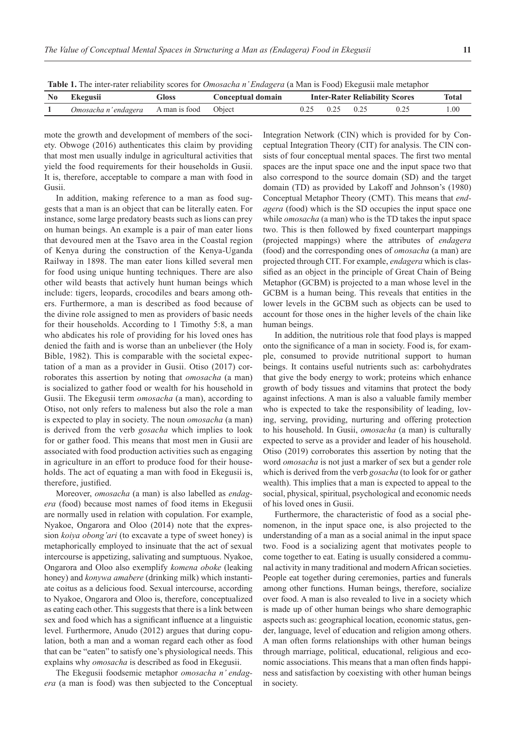**Table 1.** The inter-rater reliability scores for *Omosacha n' Endagera* (a Man is Food) Ekegusii male metaphor

| No Ekegusii<br>Gloss                            |  | Conceptual domain | <b>Inter-Rater Reliability Scores</b> |                      |  |  | Total |
|-------------------------------------------------|--|-------------------|---------------------------------------|----------------------|--|--|-------|
| <i>Omosacha n'endagera</i> A man is food Object |  |                   |                                       | $0.25$ $0.25$ $0.25$ |  |  | 1.00  |
|                                                 |  |                   |                                       |                      |  |  |       |

mote the growth and development of members of the society. Obwoge (2016) authenticates this claim by providing that most men usually indulge in agricultural activities that yield the food requirements for their households in Gusii. It is, therefore, acceptable to compare a man with food in Gusii.

In addition, making reference to a man as food suggests that a man is an object that can be literally eaten. For instance, some large predatory beasts such as lions can prey on human beings. An example is a pair of man eater lions that devoured men at the Tsavo area in the Coastal region of Kenya during the construction of the Kenya-Uganda Railway in 1898. The man eater lions killed several men for food using unique hunting techniques. There are also other wild beasts that actively hunt human beings which include: tigers, leopards, crocodiles and bears among others. Furthermore, a man is described as food because of the divine role assigned to men as providers of basic needs for their households. According to 1 Timothy 5:8, a man who abdicates his role of providing for his loved ones has denied the faith and is worse than an unbeliever (the Holy Bible, 1982). This is comparable with the societal expectation of a man as a provider in Gusii. Otiso (2017) corroborates this assertion by noting that *omosacha* (a man) is socialized to gather food or wealth for his household in Gusii. The Ekegusii term *omosacha* (a man), according to Otiso, not only refers to maleness but also the role a man is expected to play in society. The noun *omosacha* (a man) is derived from the verb *gosacha* which implies to look for or gather food. This means that most men in Gusii are associated with food production activities such as engaging in agriculture in an effort to produce food for their households. The act of equating a man with food in Ekegusii is, therefore, justified.

Moreover, *omosacha* (a man) is also labelled as *endagera* (food) because most names of food items in Ekegusii are normally used in relation with copulation. For example, Nyakoe, Ongarora and Oloo (2014) note that the expression *koiya obong'ari* (to excavate a type of sweet honey) is metaphorically employed to insinuate that the act of sexual intercourse is appetizing, salivating and sumptuous. Nyakoe, Ongarora and Oloo also exemplify *komena oboke* (leaking honey) and *konywa amabere* (drinking milk) which instantiate coitus as a delicious food. Sexual intercourse, according to Nyakoe, Ongarora and Oloo is, therefore, conceptualized as eating each other. This suggests that there is a link between sex and food which has a significant influence at a linguistic level. Furthermore, Anudo (2012) argues that during copulation, both a man and a woman regard each other as food that can be "eaten" to satisfy one's physiological needs. This explains why *omosacha* is described as food in Ekegusii.

The Ekegusii foodsemic metaphor *omosacha n' endagera* (a man is food) was then subjected to the Conceptual Integration Network (CIN) which is provided for by Conceptual Integration Theory (CIT) for analysis. The CIN consists of four conceptual mental spaces. The first two mental spaces are the input space one and the input space two that also correspond to the source domain (SD) and the target domain (TD) as provided by Lakoff and Johnson's (1980) Conceptual Metaphor Theory (CMT). This means that *endagera* (food) which is the SD occupies the input space one while *omosacha* (a man) who is the TD takes the input space two. This is then followed by fixed counterpart mappings (projected mappings) where the attributes of *endagera*  (food) and the corresponding ones of *omosacha* (a man) are projected through CIT. For example, *endagera* which is classified as an object in the principle of Great Chain of Being Metaphor (GCBM) is projected to a man whose level in the GCBM is a human being. This reveals that entities in the lower levels in the GCBM such as objects can be used to account for those ones in the higher levels of the chain like human beings.

In addition, the nutritious role that food plays is mapped onto the significance of a man in society. Food is, for example, consumed to provide nutritional support to human beings. It contains useful nutrients such as: carbohydrates that give the body energy to work; proteins which enhance growth of body tissues and vitamins that protect the body against infections. A man is also a valuable family member who is expected to take the responsibility of leading, loving, serving, providing, nurturing and offering protection to his household. In Gusii, *omosacha* (a man) is culturally expected to serve as a provider and leader of his household. Otiso (2019) corroborates this assertion by noting that the word *omosacha* is not just a marker of sex but a gender role which is derived from the verb *gosacha* (to look for or gather wealth). This implies that a man is expected to appeal to the social, physical, spiritual, psychological and economic needs of his loved ones in Gusii.

Furthermore, the characteristic of food as a social phenomenon, in the input space one, is also projected to the understanding of a man as a social animal in the input space two. Food is a socializing agent that motivates people to come together to eat. Eating is usually considered a communal activity in many traditional and modern African societies. People eat together during ceremonies, parties and funerals among other functions. Human beings, therefore, socialize over food. A man is also revealed to live in a society which is made up of other human beings who share demographic aspects such as: geographical location, economic status, gender, language, level of education and religion among others. A man often forms relationships with other human beings through marriage, political, educational, religious and economic associations. This means that a man often finds happiness and satisfaction by coexisting with other human beings in society.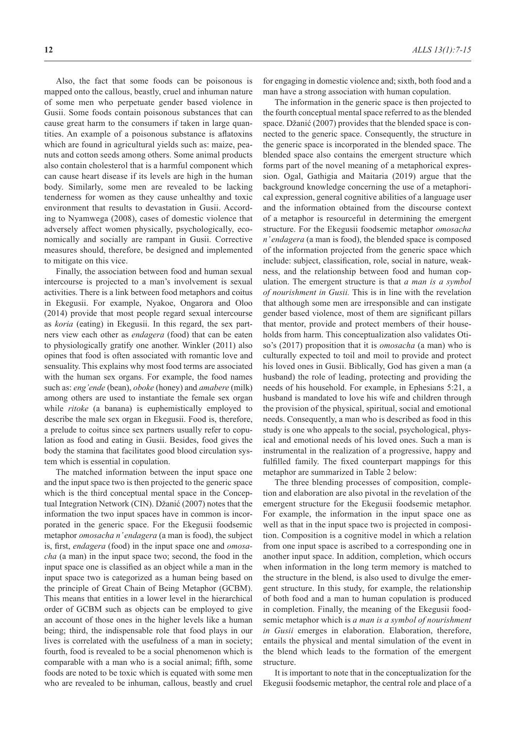Also, the fact that some foods can be poisonous is mapped onto the callous, beastly, cruel and inhuman nature of some men who perpetuate gender based violence in Gusii. Some foods contain poisonous substances that can cause great harm to the consumers if taken in large quantities. An example of a poisonous substance is aflatoxins which are found in agricultural yields such as: maize, peanuts and cotton seeds among others. Some animal products also contain cholesterol that is a harmful component which can cause heart disease if its levels are high in the human body. Similarly, some men are revealed to be lacking tenderness for women as they cause unhealthy and toxic environment that results to devastation in Gusii. According to Nyamwega (2008), cases of domestic violence that adversely affect women physically, psychologically, economically and socially are rampant in Gusii. Corrective measures should, therefore, be designed and implemented to mitigate on this vice.

Finally, the association between food and human sexual intercourse is projected to a man's involvement is sexual activities. There is a link between food metaphors and coitus in Ekegusii. For example, Nyakoe, Ongarora and Oloo (2014) provide that most people regard sexual intercourse as *koria* (eating) in Ekegusii. In this regard, the sex partners view each other as *endagera* (food) that can be eaten to physiologically gratify one another. Winkler (2011) also opines that food is often associated with romantic love and sensuality. This explains why most food terms are associated with the human sex organs. For example, the food names such as: *eng'ende* (bean), *oboke* (honey) and *amabere* (milk) among others are used to instantiate the female sex organ while *ritoke* (a banana) is euphemistically employed to describe the male sex organ in Ekegusii. Food is, therefore, a prelude to coitus since sex partners usually refer to copulation as food and eating in Gusii. Besides, food gives the body the stamina that facilitates good blood circulation system which is essential in copulation.

The matched information between the input space one and the input space two is then projected to the generic space which is the third conceptual mental space in the Conceptual Integration Network (CIN). Džanić (2007) notes that the information the two input spaces have in common is incorporated in the generic space. For the Ekegusii foodsemic metaphor *omosacha n' endagera* (a man is food), the subject is, first, *endagera* (food) in the input space one and *omosacha* (a man) in the input space two; second, the food in the input space one is classified as an object while a man in the input space two is categorized as a human being based on the principle of Great Chain of Being Metaphor (GCBM). This means that entities in a lower level in the hierarchical order of GCBM such as objects can be employed to give an account of those ones in the higher levels like a human being; third, the indispensable role that food plays in our lives is correlated with the usefulness of a man in society; fourth, food is revealed to be a social phenomenon which is comparable with a man who is a social animal; fifth, some foods are noted to be toxic which is equated with some men who are revealed to be inhuman, callous, beastly and cruel

for engaging in domestic violence and; sixth, both food and a man have a strong association with human copulation.

The information in the generic space is then projected to the fourth conceptual mental space referred to as the blended space. Džanić (2007) provides that the blended space is connected to the generic space. Consequently, the structure in the generic space is incorporated in the blended space. The blended space also contains the emergent structure which forms part of the novel meaning of a metaphorical expression. Ogal, Gathigia and Maitaria (2019) argue that the background knowledge concerning the use of a metaphorical expression, general cognitive abilities of a language user and the information obtained from the discourse context of a metaphor is resourceful in determining the emergent structure. For the Ekegusii foodsemic metaphor *omosacha n' endagera* (a man is food), the blended space is composed of the information projected from the generic space which include: subject, classification, role, social in nature, weakness, and the relationship between food and human copulation. The emergent structure is that *a man is a symbol of nourishment in Gusii.* This is in line with the revelation that although some men are irresponsible and can instigate gender based violence, most of them are significant pillars that mentor, provide and protect members of their households from harm. This conceptualization also validates Otiso's (2017) proposition that it is *omosacha* (a man) who is culturally expected to toil and moil to provide and protect his loved ones in Gusii. Biblically, God has given a man (a husband) the role of leading, protecting and providing the needs of his household. For example, in Ephesians 5:21, a husband is mandated to love his wife and children through the provision of the physical, spiritual, social and emotional needs. Consequently, a man who is described as food in this study is one who appeals to the social, psychological, physical and emotional needs of his loved ones. Such a man is instrumental in the realization of a progressive, happy and fulfilled family. The fixed counterpart mappings for this metaphor are summarized in Table 2 below:

The three blending processes of composition, completion and elaboration are also pivotal in the revelation of the emergent structure for the Ekegusii foodsemic metaphor. For example, the information in the input space one as well as that in the input space two is projected in composition. Composition is a cognitive model in which a relation from one input space is ascribed to a corresponding one in another input space. In addition, completion, which occurs when information in the long term memory is matched to the structure in the blend, is also used to divulge the emergent structure. In this study, for example, the relationship of both food and a man to human copulation is produced in completion. Finally, the meaning of the Ekegusii foodsemic metaphor which is *a man is a symbol of nourishment in Gusii* emerges in elaboration. Elaboration, therefore, entails the physical and mental simulation of the event in the blend which leads to the formation of the emergent structure.

It is important to note that in the conceptualization for the Ekegusii foodsemic metaphor, the central role and place of a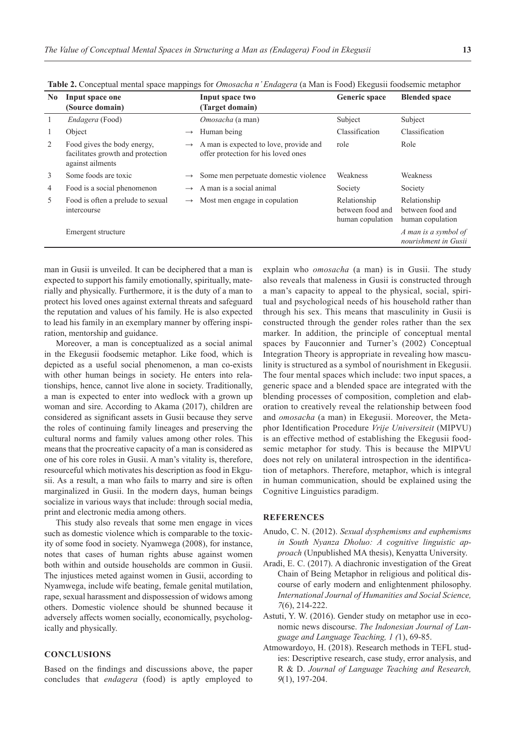| N <sub>0</sub> | Input space one<br>(Source domain)                                                   |               | Input space two<br>(Target domain)                                            | Generic space                                        | <b>Blended space</b>                                 |  |  |  |  |
|----------------|--------------------------------------------------------------------------------------|---------------|-------------------------------------------------------------------------------|------------------------------------------------------|------------------------------------------------------|--|--|--|--|
| $\mathbf{1}$   | Endagera (Food)                                                                      |               | Omosacha (a man)                                                              | Subject                                              | Subject                                              |  |  |  |  |
| 1              | Object                                                                               | $\rightarrow$ | Human being                                                                   | Classification                                       | Classification                                       |  |  |  |  |
| 2              | Food gives the body energy,<br>facilitates growth and protection<br>against ailments | $\rightarrow$ | A man is expected to love, provide and<br>offer protection for his loved ones | role                                                 | Role                                                 |  |  |  |  |
| 3              | Some foods are toxic                                                                 | $\rightarrow$ | Some men perpetuate domestic violence                                         | Weakness                                             | Weakness                                             |  |  |  |  |
| $\overline{4}$ | Food is a social phenomenon                                                          | $\rightarrow$ | A man is a social animal                                                      | Society                                              | Society                                              |  |  |  |  |
| 5              | Food is often a prelude to sexual<br>intercourse                                     | $\rightarrow$ | Most men engage in copulation                                                 | Relationship<br>between food and<br>human copulation | Relationship<br>between food and<br>human copulation |  |  |  |  |
|                | Emergent structure                                                                   |               |                                                                               |                                                      | A man is a symbol of<br>nourishment in Gusii         |  |  |  |  |

**Table 2.** Conceptual mental space mappings for *Omosacha n' Endagera* (a Man is Food) Ekegusii foodsemic metaphor

man in Gusii is unveiled. It can be deciphered that a man is expected to support his family emotionally, spiritually, materially and physically. Furthermore, it is the duty of a man to protect his loved ones against external threats and safeguard the reputation and values of his family. He is also expected to lead his family in an exemplary manner by offering inspiration, mentorship and guidance.

Moreover, a man is conceptualized as a social animal in the Ekegusii foodsemic metaphor. Like food, which is depicted as a useful social phenomenon, a man co-exists with other human beings in society. He enters into relationships, hence, cannot live alone in society. Traditionally, a man is expected to enter into wedlock with a grown up woman and sire. According to Akama (2017), children are considered as significant assets in Gusii because they serve the roles of continuing family lineages and preserving the cultural norms and family values among other roles. This means that the procreative capacity of a man is considered as one of his core roles in Gusii. A man's vitality is, therefore, resourceful which motivates his description as food in Ekgusii. As a result, a man who fails to marry and sire is often marginalized in Gusii. In the modern days, human beings socialize in various ways that include: through social media, print and electronic media among others.

This study also reveals that some men engage in vices such as domestic violence which is comparable to the toxicity of some food in society. Nyamwega (2008), for instance, notes that cases of human rights abuse against women both within and outside households are common in Gusii. The injustices meted against women in Gusii, according to Nyamwega, include wife beating, female genital mutilation, rape, sexual harassment and dispossession of widows among others. Domestic violence should be shunned because it adversely affects women socially, economically, psychologically and physically.

## **CONCLUSIONS**

Based on the findings and discussions above, the paper concludes that *endagera* (food) is aptly employed to

explain who *omosacha* (a man) is in Gusii. The study also reveals that maleness in Gusii is constructed through a man's capacity to appeal to the physical, social, spiritual and psychological needs of his household rather than through his sex. This means that masculinity in Gusii is constructed through the gender roles rather than the sex marker. In addition, the principle of conceptual mental spaces by Fauconnier and Turner's (2002) Conceptual Integration Theory is appropriate in revealing how masculinity is structured as a symbol of nourishment in Ekegusii. The four mental spaces which include: two input spaces, a generic space and a blended space are integrated with the blending processes of composition, completion and elaboration to creatively reveal the relationship between food and *omosacha* (a man) in Ekegusii. Moreover, the Metaphor Identification Procedure *Vrije Universiteit* (MIPVU) is an effective method of establishing the Ekegusii foodsemic metaphor for study. This is because the MIPVU does not rely on unilateral introspection in the identification of metaphors. Therefore, metaphor, which is integral in human communication, should be explained using the Cognitive Linguistics paradigm.

### **REFERENCES**

- Anudo, C. N. (2012). *Sexual dysphemisms and euphemisms in South Nyanza Dholuo: A cognitive linguistic approach* (Unpublished MA thesis), Kenyatta University.
- Aradi, E. C. (2017). A diachronic investigation of the Great Chain of Being Metaphor in religious and political discourse of early modern and enlightenment philosophy. *International Journal of Humanities and Social Science, 7*(6), 214-222.
- Astuti, Y. W. (2016). Gender study on metaphor use in economic news discourse. *The Indonesian Journal of Language and Language Teaching, 1 (*1), 69-85.
- Atmowardoyo, H. (2018). Research methods in TEFL studies: Descriptive research, case study, error analysis, and R & D. *Journal of Language Teaching and Research, 9*(1), 197-204.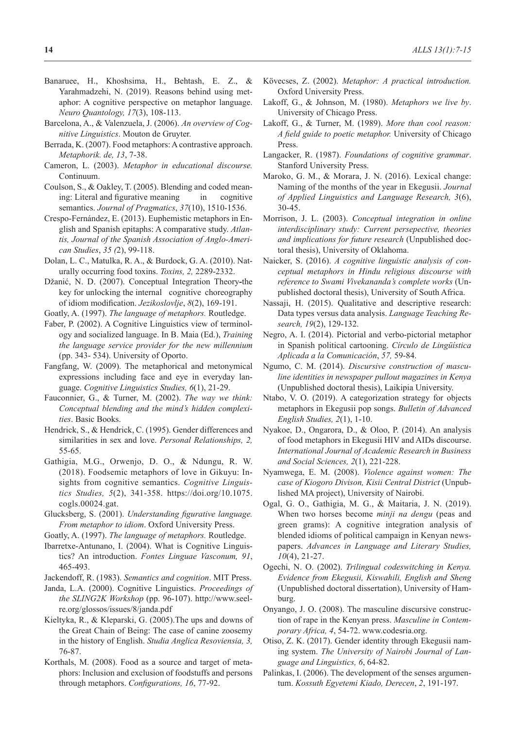- Banaruee, H., Khoshsima, H., Behtash, E. Z., & Yarahmadzehi, N. (2019). Reasons behind using metaphor: A cognitive perspective on metaphor language. *Neuro Quantology, 17*(3), 108-113.
- Barcelona, A., & Valenzuela, J. (2006). *An overview of Cognitive Linguistics*. Mouton de Gruyter.
- Berrada, K. (2007). Food metaphors: A contrastive approach. *Metaphorik. de, 13*, 7-38.
- Cameron, L. (2003). *Metaphor in educational discourse.* Continuum.
- Coulson, S., & Oakley, T. (2005). Blending and coded meaning: Literal and figurative meaning in cognitive semantics. *Journal of Pragmatics*, *37*(10), 1510-1536.
- Crespo-Fernández, E. (2013). Euphemistic metaphors in English and Spanish epitaphs: A comparative study. *Atlantis, Journal of the Spanish Association of Anglo-American Studies*, *35 (*2), 99-118.
- Dolan, L. C., Matulka, R. A., & Burdock, G. A. (2010). Naturally occurring food toxins. *Toxins, 2,* 2289-2332.
- Džanić, N. D. (2007). Conceptual Integration Theory**-**the key for unlocking the internal cognitive choreography of idiom modification. *Jezikoslovlje*, *8*(2), 169-191.
- Goatly, A. (1997). *The language of metaphors.* Routledge.
- Faber, P. (2002). A Cognitive Linguistics view of terminology and socialized language. In B. Maia (Ed.), *Training the language service provider for the new millennium* (pp. 343- 534). University of Oporto.
- Fangfang, W. (2009). The metaphorical and metonymical expressions including face and eye in everyday language. *Cognitive Linguistics Studies, 6*(1), 21-29.
- Fauconnier, G., & Turner, M. (2002). *The way we think: Conceptual blending and the mind's hidden complexities*. Basic Books.
- Hendrick, S., & Hendrick, C. (1995). Gender differences and similarities in sex and love. *Personal Relationships, 2,* 55-65.
- Gathigia, M.G., Orwenjo, D. O., & Ndungu, R. W. (2018). Foodsemic metaphors of love in Gikuyu: Insights from cognitive semantics. *Cognitive Linguistics Studies, 5*(2), 341-358. https://doi.org/10.1075. cogls.00024.gat.
- Glucksberg, S. (2001). *Understanding figurative language. From metaphor to idiom*. Oxford University Press.
- Goatly, A. (1997). *The language of metaphors.* Routledge.
- Ibarretxe-Antunano, I. (2004). What is Cognitive Linguistics? An introduction. *Fontes Linguae Vasconum, 91*, 465-493.
- Jackendoff, R. (1983). *Semantics and cognition*. MIT Press.
- Janda, L.A. (2000). Cognitive Linguistics. *Proceedings of the SLING2K Workshop* (pp. 96-107). http://www.seelre.org/glossos/issues/8/janda.pdf
- Kieltyka, R., & Kleparski, G. (2005).The ups and downs of the Great Chain of Being: The case of canine zoosemy in the history of English. *Studia Anglica Resoviensia, 3,* 76-87.
- Korthals, M. (2008). Food as a source and target of metaphors: Inclusion and exclusion of foodstuffs and persons through metaphors. *Configurations, 16*, 77-92.
- Kövecses, Z. (2002). *Metaphor: A practical introduction.* Oxford University Press.
- Lakoff, G., & Johnson, M. (1980). *Metaphors we live by*. University of Chicago Press.
- Lakoff, G., & Turner, M. (1989). *More than cool reason: A field guide to poetic metaphor.* University of Chicago Press.
- Langacker, R. (1987). *Foundations of cognitive grammar*. Stanford University Press.
- Maroko, G. M., & Morara, J. N. (2016). Lexical change: Naming of the months of the year in Ekegusii. *Journal of Applied Linguistics and Language Research, 3*(6), 30-45.
- Morrison, J. L. (2003). *Conceptual integration in online interdisciplinary study: Current persepective, theories and implications for future research* (Unpublished doctoral thesis), University of Oklahoma.
- Naicker, S. (2016). *A cognitive linguistic analysis of conceptual metaphors in Hindu religious discourse with reference to Swami Vivekananda's complete works* (Unpublished doctoral thesis), University of South Africa.
- Nassaji, H. (2015). Qualitative and descriptive research: Data types versus data analysis. *Language Teaching Research, 19*(2), 129-132.
- Negro, A. I. (2014). Pictorial and verbo-pictorial metaphor in Spanish political cartooning. *Círculo de Lingüística Aplicada a la Comunicación*, *57,* 59-84.
- Ngumo, C. M. (2014). *Discursive construction of masculine identities in newspaper pullout magazines in Kenya* (Unpublished doctoral thesis), Laikipia University.
- Ntabo, V. O. (2019). A categorization strategy for objects metaphors in Ekegusii pop songs. *Bulletin of Advanced English Studies, 2*(1), 1-10.
- Nyakoe, D., Ongarora, D., & Oloo, P. (2014). An analysis of food metaphors in Ekegusii HIV and AIDs discourse. *International Journal of Academic Research in Business and Social Sciences, 2*(1), 221-228.
- Nyamwega, E. M. (2008). *Violence against women: The case of Kiogoro Divison, Kisii Central District* (Unpublished MA project), University of Nairobi.
- Ogal, G. O., Gathigia, M. G., & Maitaria, J. N. (2019). When two horses become *minji na dengu* (peas and green grams): A cognitive integration analysis of blended idioms of political campaign in Kenyan newspapers. *Advances in Language and Literary Studies, 10*(4), 21-27.
- Ogechi, N. O. (2002). *Trilingual codeswitching in Kenya. Evidence from Ekegusii, Kiswahili, English and Sheng* (Unpublished doctoral dissertation), University of Hamburg.
- Onyango, J. O. (2008). The masculine discursive construction of rape in the Kenyan press. *Masculine in Contemporary Africa, 4*, 54-72. www.codesria.org.
- Otiso, Z. K. (2017). Gender identity through Ekegusii naming system. *The University of Nairobi Journal of Language and Linguistics, 6*, 64-82.
- Palinkas, I. (2006). The development of the senses argumentum. *Kossuth Egyetemi Kiado, Derecen*, *2*, 191-197.